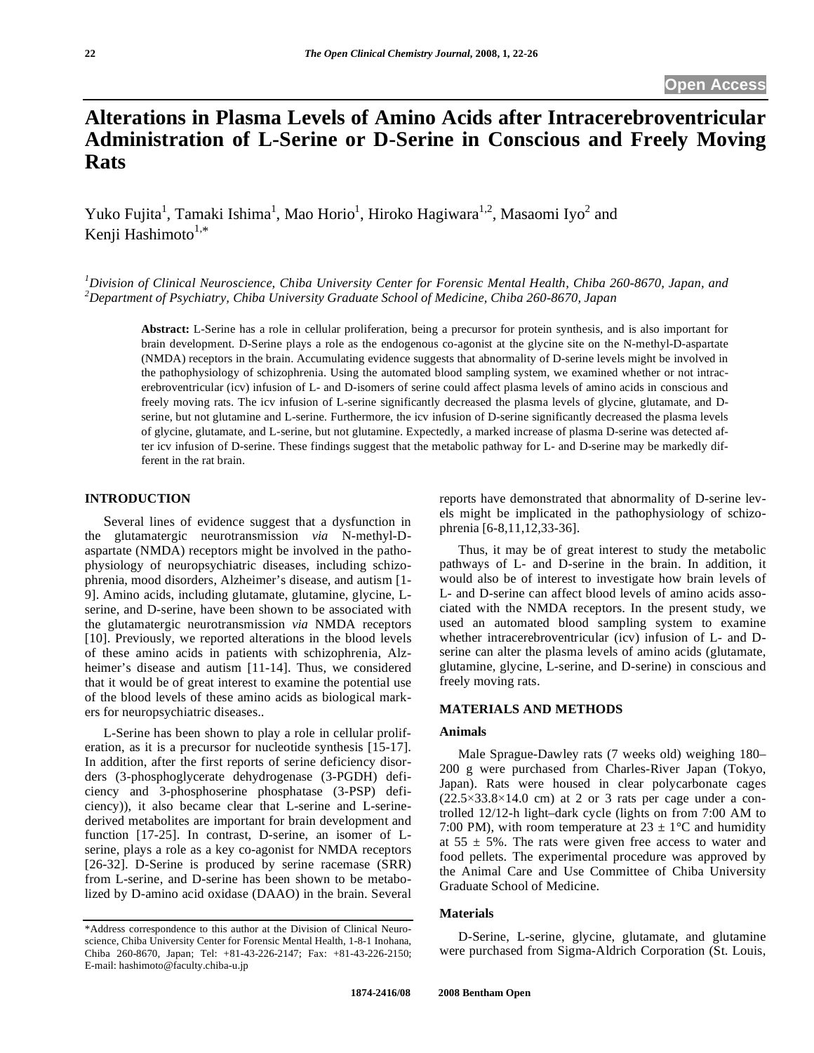# **Alterations in Plasma Levels of Amino Acids after Intracerebroventricular Administration of L-Serine or D-Serine in Conscious and Freely Moving Rats**

Yuko Fujita<sup>1</sup>, Tamaki Ishima<sup>1</sup>, Mao Horio<sup>1</sup>, Hiroko Hagiwara<sup>1,2</sup>, Masaomi Iyo<sup>2</sup> and Kenji Hashimoto $1,*$ 

*1 Division of Clinical Neuroscience, Chiba University Center for Forensic Mental Health, Chiba 260-8670, Japan, and 2 Department of Psychiatry, Chiba University Graduate School of Medicine, Chiba 260-8670, Japan* 

**Abstract:** L-Serine has a role in cellular proliferation, being a precursor for protein synthesis, and is also important for brain development. D-Serine plays a role as the endogenous co-agonist at the glycine site on the N-methyl-D-aspartate (NMDA) receptors in the brain. Accumulating evidence suggests that abnormality of D-serine levels might be involved in the pathophysiology of schizophrenia. Using the automated blood sampling system, we examined whether or not intracerebroventricular (icv) infusion of L- and D-isomers of serine could affect plasma levels of amino acids in conscious and freely moving rats. The icv infusion of L-serine significantly decreased the plasma levels of glycine, glutamate, and Dserine, but not glutamine and L-serine. Furthermore, the icv infusion of D-serine significantly decreased the plasma levels of glycine, glutamate, and L-serine, but not glutamine. Expectedly, a marked increase of plasma D-serine was detected after icv infusion of D-serine. These findings suggest that the metabolic pathway for L- and D-serine may be markedly different in the rat brain.

## **INTRODUCTION**

 Several lines of evidence suggest that a dysfunction in the glutamatergic neurotransmission *via* N-methyl-Daspartate (NMDA) receptors might be involved in the pathophysiology of neuropsychiatric diseases, including schizophrenia, mood disorders, Alzheimer's disease, and autism [1- 9]. Amino acids, including glutamate, glutamine, glycine, Lserine, and D-serine, have been shown to be associated with the glutamatergic neurotransmission *via* NMDA receptors [10]. Previously, we reported alterations in the blood levels of these amino acids in patients with schizophrenia, Alzheimer's disease and autism [11-14]. Thus, we considered that it would be of great interest to examine the potential use of the blood levels of these amino acids as biological markers for neuropsychiatric diseases..

 L-Serine has been shown to play a role in cellular proliferation, as it is a precursor for nucleotide synthesis [15-17]. In addition, after the first reports of serine deficiency disorders (3-phosphoglycerate dehydrogenase (3-PGDH) deficiency and 3-phosphoserine phosphatase (3-PSP) deficiency)), it also became clear that L-serine and L-serinederived metabolites are important for brain development and function [17-25]. In contrast, D-serine, an isomer of Lserine, plays a role as a key co-agonist for NMDA receptors [26-32]. D-Serine is produced by serine racemase (SRR) from L-serine, and D-serine has been shown to be metabolized by D-amino acid oxidase (DAAO) in the brain. Several

reports have demonstrated that abnormality of D-serine levels might be implicated in the pathophysiology of schizophrenia [6-8,11,12,33-36].

 Thus, it may be of great interest to study the metabolic pathways of L- and D-serine in the brain. In addition, it would also be of interest to investigate how brain levels of L- and D-serine can affect blood levels of amino acids associated with the NMDA receptors. In the present study, we used an automated blood sampling system to examine whether intracerebroventricular (icv) infusion of L- and Dserine can alter the plasma levels of amino acids (glutamate, glutamine, glycine, L-serine, and D-serine) in conscious and freely moving rats.

## **MATERIALS AND METHODS**

#### **Animals**

 Male Sprague-Dawley rats (7 weeks old) weighing 180– 200 g were purchased from Charles-River Japan (Tokyo, Japan). Rats were housed in clear polycarbonate cages  $(22.5\times33.8\times14.0$  cm) at 2 or 3 rats per cage under a controlled 12/12-h light–dark cycle (lights on from 7:00 AM to 7:00 PM), with room temperature at  $23 \pm 1$ °C and humidity at  $55 \pm 5\%$ . The rats were given free access to water and food pellets. The experimental procedure was approved by the Animal Care and Use Committee of Chiba University Graduate School of Medicine.

## **Materials**

 D-Serine, L-serine, glycine, glutamate, and glutamine were purchased from Sigma-Aldrich Corporation (St. Louis,

<sup>\*</sup>Address correspondence to this author at the Division of Clinical Neuroscience, Chiba University Center for Forensic Mental Health, 1-8-1 Inohana, Chiba 260-8670, Japan; Tel: +81-43-226-2147; Fax: +81-43-226-2150; E-mail: hashimoto@faculty.chiba-u.jp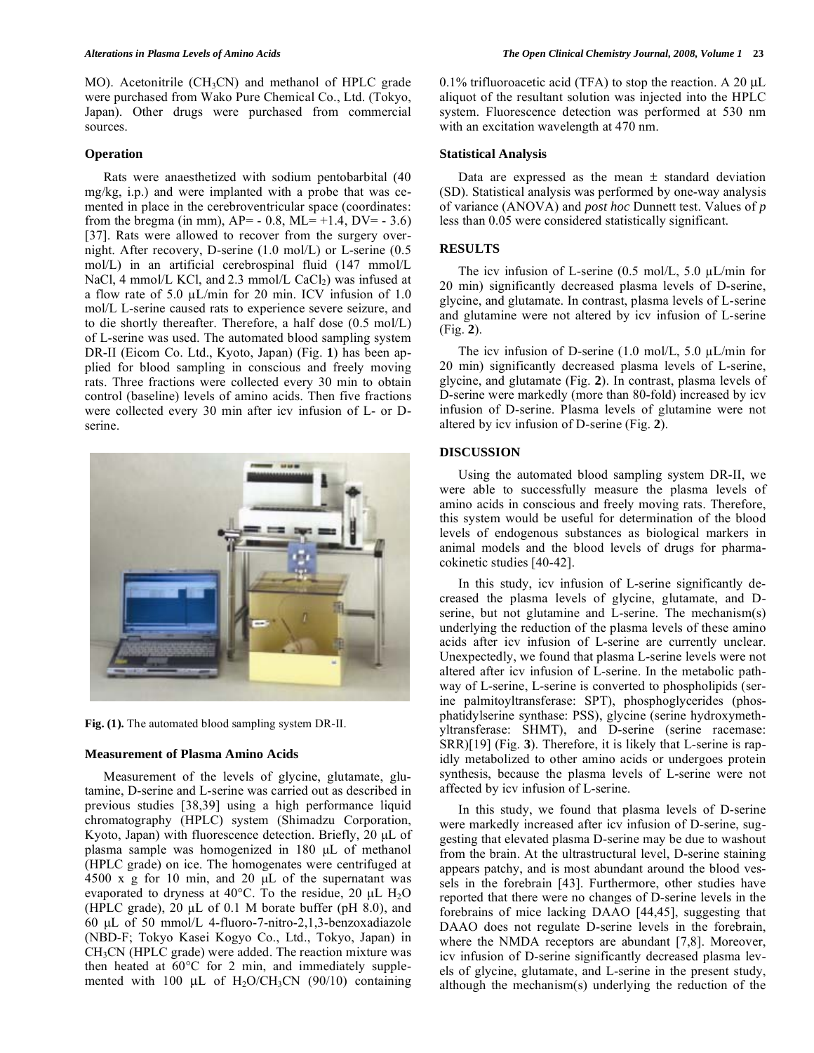MO). Acetonitrile (CH<sub>3</sub>CN) and methanol of HPLC grade were purchased from Wako Pure Chemical Co., Ltd. (Tokyo, Japan). Other drugs were purchased from commercial sources.

#### **Operation**

 Rats were anaesthetized with sodium pentobarbital (40 mg/kg, i.p.) and were implanted with a probe that was cemented in place in the cerebroventricular space (coordinates: from the bregma (in mm),  $AP = -0.8$ ,  $ML = +1.4$ ,  $DV = -3.6$ ) [37]. Rats were allowed to recover from the surgery overnight. After recovery, D-serine (1.0 mol/L) or L-serine (0.5 mol/L) in an artificial cerebrospinal fluid (147 mmol/L NaCl, 4 mmol/L KCl, and  $2.3$  mmol/L CaCl<sub>2</sub>) was infused at a flow rate of 5.0  $\mu$ L/min for 20 min. ICV infusion of 1.0 mol/L L-serine caused rats to experience severe seizure, and to die shortly thereafter. Therefore, a half dose (0.5 mol/L) of L-serine was used. The automated blood sampling system DR-II (Eicom Co. Ltd., Kyoto, Japan) (Fig. **1**) has been applied for blood sampling in conscious and freely moving rats. Three fractions were collected every 30 min to obtain control (baseline) levels of amino acids. Then five fractions were collected every 30 min after icv infusion of L- or Dserine.



**Fig. (1).** The automated blood sampling system DR-II.

#### **Measurement of Plasma Amino Acids**

 Measurement of the levels of glycine, glutamate, glutamine, D-serine and L-serine was carried out as described in previous studies [38,39] using a high performance liquid chromatography (HPLC) system (Shimadzu Corporation, Kyoto, Japan) with fluorescence detection. Briefly, 20 μL of plasma sample was homogenized in 180 μL of methanol (HPLC grade) on ice. The homogenates were centrifuged at 4500 x g for 10 min, and 20 μL of the supernatant was evaporated to dryness at 40°C. To the residue, 20  $\mu$ L H<sub>2</sub>O (HPLC grade), 20  $\mu$ L of 0.1 M borate buffer (pH 8.0), and 60 μL of 50 mmol/L 4-fluoro-7-nitro-2,1,3-benzoxadiazole (NBD-F; Tokyo Kasei Kogyo Co., Ltd., Tokyo, Japan) in  $CH<sub>3</sub>CN$  (HPLC grade) were added. The reaction mixture was then heated at 60°C for 2 min, and immediately supplemented with 100  $\mu$ L of H<sub>2</sub>O/CH<sub>3</sub>CN (90/10) containing

0.1% trifluoroacetic acid (TFA) to stop the reaction. A 20 μL aliquot of the resultant solution was injected into the HPLC system. Fluorescence detection was performed at 530 nm with an excitation wavelength at 470 nm.

### **Statistical Analysis**

Data are expressed as the mean  $\pm$  standard deviation (SD). Statistical analysis was performed by one-way analysis of variance (ANOVA) and *post hoc* Dunnett test. Values of *p* less than 0.05 were considered statistically significant.

### **RESULTS**

The icv infusion of L-serine  $(0.5 \text{ mol/L}, 5.0 \text{ }\mu\text{L/min}$  for 20 min) significantly decreased plasma levels of D-serine, glycine, and glutamate. In contrast, plasma levels of L-serine and glutamine were not altered by icv infusion of L-serine (Fig. **2**).

The icv infusion of D-serine  $(1.0 \text{ mol/L}, 5.0 \text{ }\mu\text{L/min}$  for 20 min) significantly decreased plasma levels of L-serine, glycine, and glutamate (Fig. **2**). In contrast, plasma levels of D-serine were markedly (more than 80-fold) increased by icv infusion of D-serine. Plasma levels of glutamine were not altered by icv infusion of D-serine (Fig. **2**).

#### **DISCUSSION**

 Using the automated blood sampling system DR-II, we were able to successfully measure the plasma levels of amino acids in conscious and freely moving rats. Therefore, this system would be useful for determination of the blood levels of endogenous substances as biological markers in animal models and the blood levels of drugs for pharmacokinetic studies [40-42].

 In this study, icv infusion of L-serine significantly decreased the plasma levels of glycine, glutamate, and Dserine, but not glutamine and L-serine. The mechanism(s) underlying the reduction of the plasma levels of these amino acids after icv infusion of L-serine are currently unclear. Unexpectedly, we found that plasma L-serine levels were not altered after icv infusion of L-serine. In the metabolic pathway of L-serine, L-serine is converted to phospholipids (serine palmitoyltransferase: SPT), phosphoglycerides (phosphatidylserine synthase: PSS), glycine (serine hydroxymethyltransferase: SHMT), and D-serine (serine racemase: SRR)[19] (Fig. **3**). Therefore, it is likely that L-serine is rapidly metabolized to other amino acids or undergoes protein synthesis, because the plasma levels of L-serine were not affected by icv infusion of L-serine.

 In this study, we found that plasma levels of D-serine were markedly increased after icv infusion of D-serine, suggesting that elevated plasma D-serine may be due to washout from the brain. At the ultrastructural level, D-serine staining appears patchy, and is most abundant around the blood vessels in the forebrain [43]. Furthermore, other studies have reported that there were no changes of D-serine levels in the forebrains of mice lacking DAAO [44,45], suggesting that DAAO does not regulate D-serine levels in the forebrain, where the NMDA receptors are abundant [7,8]. Moreover, icv infusion of D-serine significantly decreased plasma levels of glycine, glutamate, and L-serine in the present study, although the mechanism(s) underlying the reduction of the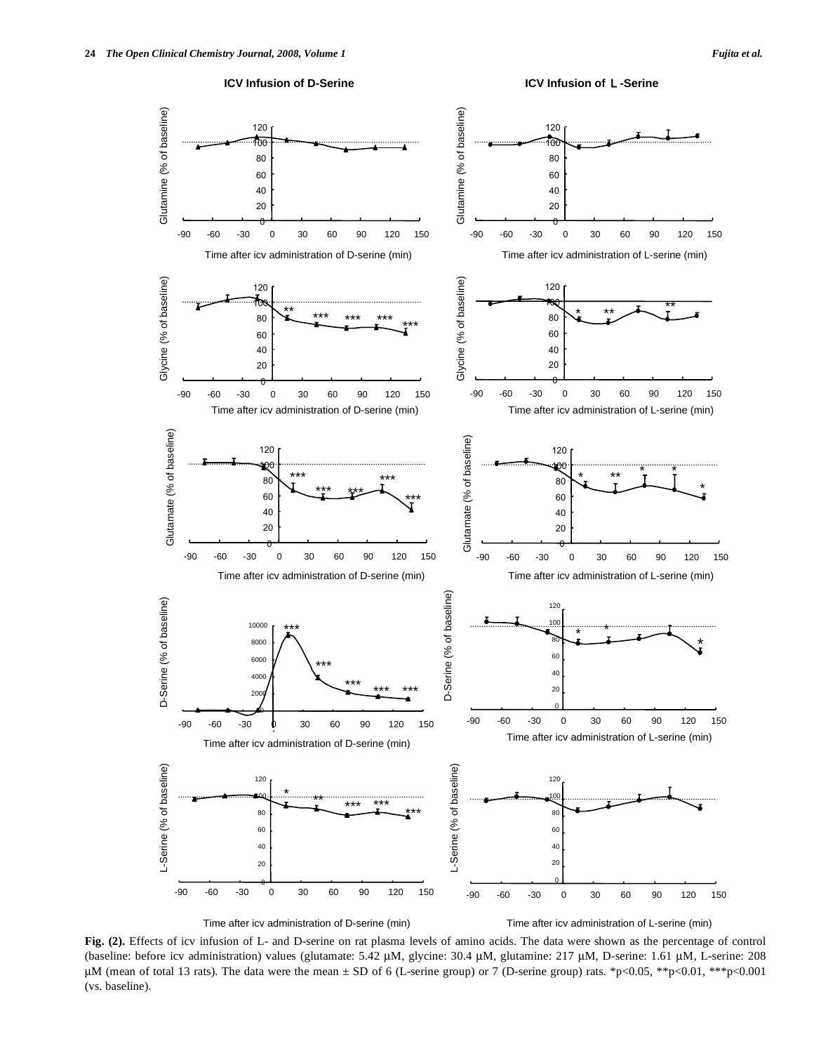



Time after icv administration of D-serine (min)

Time after icv administration of L-serine (min)

**Fig. (2).** Effects of icv infusion of L- and D-serine on rat plasma levels of amino acids. The data were shown as the percentage of control (baseline: before icv administration) values (glutamate: 5.42 μM, glycine: 30.4 μM, glutamine: 217 μM, D-serine: 1.61 μM, L-serine: 208 μM (mean of total 13 rats). The data were the mean ± SD of 6 (L-serine group) or 7 (D-serine group) rats. \*p<0.05, \*\*p<0.01, \*\*\*p<0.001 (vs. baseline).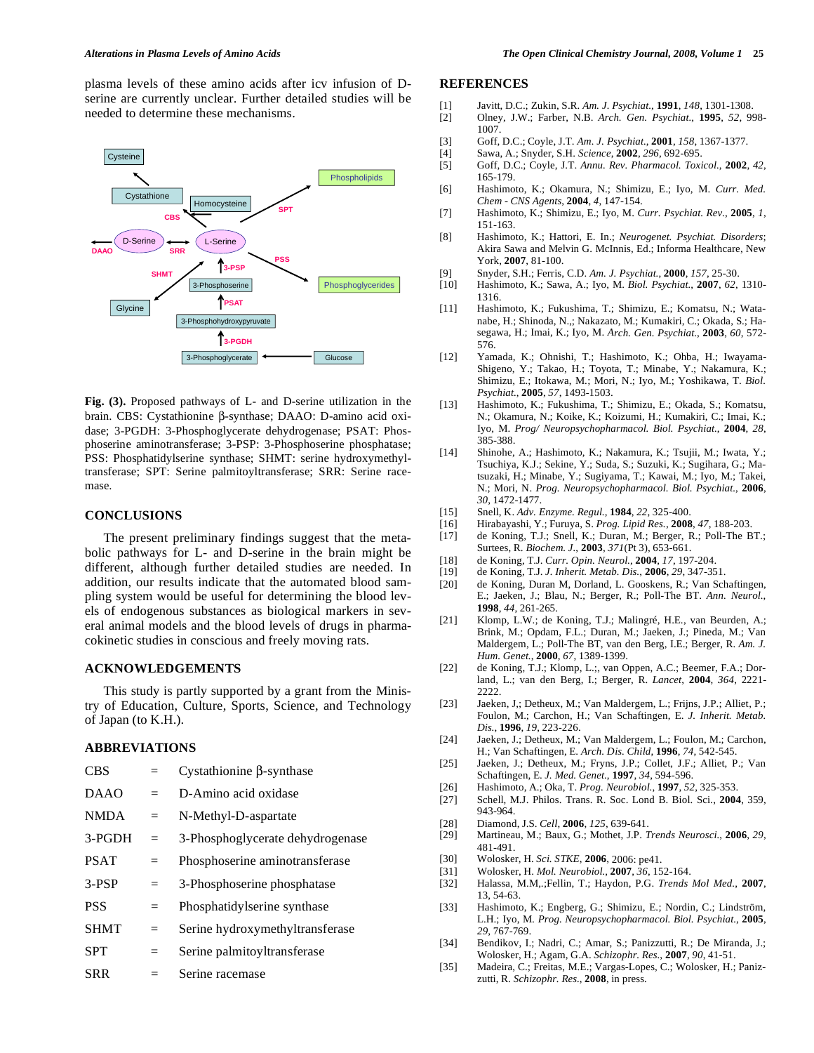plasma levels of these amino acids after icv infusion of Dserine are currently unclear. Further detailed studies will be needed to determine these mechanisms.



**Fig. (3).** Proposed pathways of L- and D-serine utilization in the brain. CBS: Cystathionine β-synthase; DAAO: D-amino acid oxidase; 3-PGDH: 3-Phosphoglycerate dehydrogenase; PSAT: Phosphoserine aminotransferase; 3-PSP: 3-Phosphoserine phosphatase; PSS: Phosphatidylserine synthase; SHMT: serine hydroxymethyltransferase; SPT: Serine palmitoyltransferase; SRR: Serine racemase.

### **CONCLUSIONS**

 The present preliminary findings suggest that the metabolic pathways for L- and D-serine in the brain might be different, although further detailed studies are needed. In addition, our results indicate that the automated blood sampling system would be useful for determining the blood levels of endogenous substances as biological markers in several animal models and the blood levels of drugs in pharmacokinetic studies in conscious and freely moving rats.

### **ACKNOWLEDGEMENTS**

 This study is partly supported by a grant from the Ministry of Education, Culture, Sports, Science, and Technology of Japan (to K.H.).

## **ABBREVIATIONS**

| <b>CBS</b>  |     | Cystathionine $\beta$ -synthase  |
|-------------|-----|----------------------------------|
| <b>DAAO</b> | $=$ | D-Amino acid oxidase             |
| <b>NMDA</b> | $=$ | N-Methyl-D-aspartate             |
| 3-PGDH      | $=$ | 3-Phosphoglycerate dehydrogenase |
| <b>PSAT</b> | $=$ | Phosphoserine aminotransferase   |
| $3-PSP$     | $=$ | 3-Phosphoserine phosphatase      |
| <b>PSS</b>  | $=$ | Phosphatidylserine synthase      |
| <b>SHMT</b> | $=$ | Serine hydroxymethyltransferase  |
| <b>SPT</b>  | $=$ | Serine palmitoyltransferase      |
| <b>SRR</b>  |     | Serine racemase                  |

### **REFERENCES**

- [1] Javitt, D.C.; Zukin, S.R. *Am. J. Psychiat.*, **1991**, *148*, 1301-1308.
- [2] Olney, J.W.; Farber, N.B. *Arch. Gen. Psychiat.*, **1995**, *52*, 998- 1007.
- [3] Goff, D.C.; Coyle, J.T. *Am. J. Psychiat.*, **2001**, *158*, 1367-1377.
- [4] Sawa, A.; Snyder, S.H. *Science*, **2002**, *296*, 692-695.
- [5] Goff, D.C.; Coyle, J.T. *Annu. Rev. Pharmacol. Toxicol.*, **2002**, *42*, 165-179.
- [6] Hashimoto, K.; Okamura, N.; Shimizu, E.; Iyo, M. *Curr. Med. Chem - CNS Agents*, **2004**, *4*, 147-154.
- [7] Hashimoto, K.; Shimizu, E.; Iyo, M. *Curr. Psychiat. Rev.*, **2005**, *1*, 151-163.
- [8] Hashimoto, K.; Hattori, E. In.; *Neurogenet. Psychiat. Disorders*; Akira Sawa and Melvin G. McInnis, Ed.; Informa Healthcare, New York, **2007**, 81-100.
- [9] Snyder, S.H.; Ferris, C.D. *Am. J. Psychiat.*, **2000**, *157*, 25-30.
- [10] Hashimoto, K.; Sawa, A.; Iyo, M. *Biol. Psychiat.*, **2007**, *62*, 1310- 1316.
- [11] Hashimoto, K.; Fukushima, T.; Shimizu, E.; Komatsu, N.; Watanabe, H.; Shinoda, N.,; Nakazato, M.; Kumakiri, C.; Okada, S.; Hasegawa, H.; Imai, K.; Iyo, M. *Arch. Gen. Psychiat.*, **2003**, *60*, 572- 576.
- [12] Yamada, K.; Ohnishi, T.; Hashimoto, K.; Ohba, H.; Iwayama-Shigeno, Y.; Takao, H.; Toyota, T.; Minabe, Y.; Nakamura, K.; Shimizu, E.; Itokawa, M.; Mori, N.; Iyo, M.; Yoshikawa, T. *Biol. Psychiat.*, **2005**, *57*, 1493-1503.
- [13] Hashimoto, K.; Fukushima, T.; Shimizu, E.; Okada, S.; Komatsu, N.; Okamura, N.; Koike, K.; Koizumi, H.; Kumakiri, C.; Imai, K.; Iyo, M. *Prog/ Neuropsychopharmacol. Biol. Psychiat.*, **2004**, *28*, 385-388.
- [14] Shinohe, A.; Hashimoto, K.; Nakamura, K.; Tsujii, M.; Iwata, Y.; Tsuchiya, K.J.; Sekine, Y.; Suda, S.; Suzuki, K.; Sugihara, G.; Matsuzaki, H.; Minabe, Y.; Sugiyama, T.; Kawai, M.; Iyo, M.; Takei, N.; Mori, N. *Prog. Neuropsychopharmacol. Biol. Psychiat.*, **2006**, *30*, 1472-1477.
- [15] Snell, K. *Adv. Enzyme. Regul.*, **1984**, *22*, 325-400.
- [16] Hirabayashi, Y.; Furuya, S. *Prog. Lipid Res.*, **2008**, *47*, 188-203.
- [17] de Koning, T.J.; Snell, K.; Duran, M.; Berger, R.; Poll-The BT.; Surtees, R. *Biochem. J.*, **2003**, *371*(Pt 3), 653-661.
- [18] de Koning, T.J. *Curr. Opin. Neurol.*, **2004**, *17*, 197-204.
- [19] de Koning, T.J. *J. Inherit. Metab. Dis.*, **2006**, *29*, 347-351.
- [20] de Koning, Duran M, Dorland, L. Gooskens, R.; Van Schaftingen, E.; Jaeken, J.; Blau, N.; Berger, R.; Poll-The BT. *Ann. Neurol.*, **1998**, *44*, 261-265.
- [21] Klomp, L.W.; de Koning, T.J.; Malingré, H.E., van Beurden, A.; Brink, M.; Opdam, F.L.; Duran, M.; Jaeken, J.; Pineda, M.; Van Maldergem, L.; Poll-The BT, van den Berg, I.E.; Berger, R. *Am. J. Hum. Genet.*, **2000**, *67*, 1389-1399.
- [22] de Koning, T.J.; Klomp, L.;, van Oppen, A.C.; Beemer, F.A.; Dorland, L.; van den Berg, I.; Berger, R. *Lancet*, **2004**, *364*, 2221-  $2222$
- [23] Jaeken, J,; Detheux, M.; Van Maldergem, L.; Frijns, J.P.; Alliet, P.; Foulon, M.; Carchon, H.; Van Schaftingen, E. *J. Inherit. Metab. Dis.*, **1996**, *19*, 223-226.
- [24] Jaeken, J.; Detheux, M.; Van Maldergem, L.; Foulon, M.; Carchon, H.; Van Schaftingen, E. *Arch. Dis. Child*, **1996**, *74*, 542-545.
- [25] Jaeken, J.; Detheux, M.; Fryns, J.P.; Collet, J.F.; Alliet, P.; Van Schaftingen, E. *J. Med. Genet.*, **1997**, *34*, 594-596.
- [26] Hashimoto, A.; Oka, T. *Prog. Neurobiol.*, **1997**, *52*, 325-353.
- [27] Schell, M.J. Philos. Trans. R. Soc. Lond B. Biol. Sci., **2004**, 359, 943-964.
- [28] Diamond, J.S. *Cell*, **2006**, *125*, 639-641.
- [29] Martineau, M.; Baux, G.; Mothet, J.P. *Trends Neurosci.*, **2006**, *29*, 481-491.
- [30] Wolosker, H. *Sci. STKE*, **2006**, 2006: pe41.
- [31] Wolosker, H. *Mol. Neurobiol.*, **2007**, *36*, 152-164.
- [32] Halassa, M.M,.;Fellin, T.; Haydon, P.G. *Trends Mol Med.*, **2007**, 13, 54-63.
- [33] Hashimoto, K.; Engberg, G.; Shimizu, E.; Nordin, C.; Lindström, L.H.; Iyo, M. *Prog. Neuropsychopharmacol. Biol. Psychiat.*, **2005**, *29*, 767-769.
- [34] Bendikov, I.; Nadri, C.; Amar, S.; Panizzutti, R.; De Miranda, J.; Wolosker, H.; Agam, G.A. *Schizophr. Res.*, **2007**, *90*, 41-51.
- [35] Madeira, C.; Freitas, M.E.; Vargas-Lopes, C.; Wolosker, H.; Panizzutti, R. *Schizophr. Res.*, **2008**, in press.